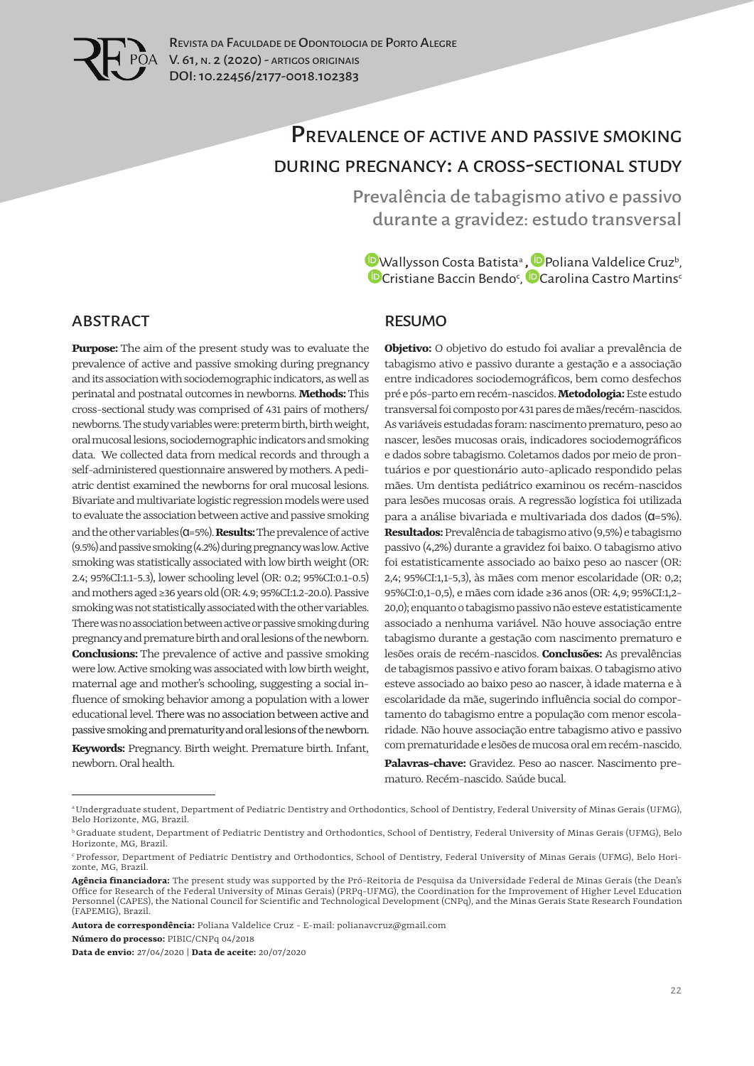

# Prevalence of active and passive smoking during pregnancy: a cross-sectional study

Prevalência de tabagismo ativo e passivo durante a gravidez: estudo transversal

[W](https://orcid.org/0000-0003-3131-2528)allysson Costa Batistaª [,](https://orcid.org/0000-0002-4218-1503) Poliana Valdelice Cruz<sup>b</sup>, [C](https://orcid.org/0000-0003-4849-8779)ristiane Baccin Bendo<sup>c</sup>, <mark>"D</mark>Carolina Castro Martins<sup>c</sup>

#### ABSTRACT

**Purpose:** The aim of the present study was to evaluate the prevalence of active and passive smoking during pregnancy and its association with sociodemographic indicators, as well as perinatal and postnatal outcomes in newborns. **Methods:** This cross-sectional study was comprised of 431 pairs of mothers/ newborns. The study variables were: preterm birth, birth weight, oral mucosal lesions, sociodemographic indicators and smoking data. We collected data from medical records and through a self-administered questionnaire answered by mothers. A pediatric dentist examined the newborns for oral mucosal lesions. Bivariate and multivariate logistic regression models were used to evaluate the association between active and passive smoking and the other variables(α=5%). **Results:** The prevalence of active (9.5%) and passive smoking (4.2%) during pregnancy was low. Active smoking was statistically associated with low birth weight (OR: 2.4; 95%CI:1.1-5.3), lower schooling level (OR: 0.2; 95%CI:0.1-0.5) and mothers aged ≥36 years old (OR: 4.9; 95%CI:1.2-20.0). Passive smoking was not statistically associated with the other variables. There was no association between active or passive smoking during pregnancy and premature birth and oral lesions of the newborn. **Conclusions:** The prevalence of active and passive smoking were low.Active smoking was associated with low birth weight, maternal age and mother's schooling, suggesting a social influence of smoking behavior among a population with a lower educational level. There was no association between active and passive smoking and prematurity and oral lesions of the newborn.

**Keywords:** Pregnancy. Birth weight. Premature birth. Infant, newborn. Oral health.

#### RESUMO

**Objetivo:** O objetivo do estudo foi avaliar a prevalência de tabagismo ativo e passivo durante a gestação e a associação entre indicadores sociodemográficos, bem como desfechos pré e pós-parto em recém-nascidos. **Metodologia:** Este estudo transversal foi composto por 431 pares de mães/recém-nascidos. As variáveis estudadas foram: nascimento prematuro, peso ao nascer, lesões mucosas orais, indicadores sociodemográficos e dados sobre tabagismo. Coletamos dados por meio de prontuários e por questionário auto-aplicado respondido pelas mães. Um dentista pediátrico examinou os recém-nascidos para lesões mucosas orais. A regressão logística foi utilizada para a análise bivariada e multivariada dos dados (α=5%). **Resultados:** Prevalência de tabagismo ativo (9,5%) e tabagismo passivo (4,2%) durante a gravidez foi baixo. O tabagismo ativo foi estatisticamente associado ao baixo peso ao nascer (OR: 2,4; 95%CI:1,1-5,3), às mães com menor escolaridade (OR: 0,2; 95%CI:0,1-0,5), e mães com idade ≥36anos (OR: 4,9; 95%CI:1,2- 20,0); enquanto o tabagismo passivo não esteve estatisticamente associado a nenhuma variável. Não houve associação entre tabagismo durante a gestação com nascimento prematuro e lesões orais de recém-nascidos. **Conclusões:** As prevalências de tabagismos passivo e ativo foram baixas. O tabagismo ativo esteve associado ao baixo peso ao nascer, à idade materna e à escolaridade da mãe, sugerindo influência social do comportamento do tabagismo entre a população com menor escolaridade. Não houve associação entre tabagismo ativo e passivo com prematuridade e lesões de mucosa oral em recém-nascido.

**Palavras-chave:** Gravidez. Peso ao nascer. Nascimento prematuro. Recém-nascido. Saúde bucal.

**Autora de correspondência:** Poliana Valdelice Cruz - E-mail: polianavcruz@gmail.com **Número do processo:** PIBIC/CNPq 04/2018

**Data de envio:** 27/04/2020 | **Data de aceite:** 20/07/2020

a Undergraduate student, Department of Pediatric Dentistry and Orthodontics, School of Dentistry, Federal University of Minas Gerais (UFMG), Belo Horizonte, MG, Brazil.

**b** Graduate student, Department of Pediatric Dentistry and Orthodontics, School of Dentistry, Federal University of Minas Gerais (UFMG), Belo Horizonte, MG, Brazil.

c Professor, Department of Pediatric Dentistry and Orthodontics, School of Dentistry, Federal University of Minas Gerais (UFMG), Belo Horizonte, MG, Brazil.

**Agência financiadora:** The present study was supported by the Pró-Reitoria de Pesquisa da Universidade Federal de Minas Gerais (the Dean's Office for Research of the Federal University of Minas Gerais) (PRPq-UFMG), the Coordination for the Improvement of Higher Level Education Personnel (CAPES), the National Council for Scientific and Technological Development (CNPq), and the Minas Gerais State Research Foundation (FAPEMIG), Brazil.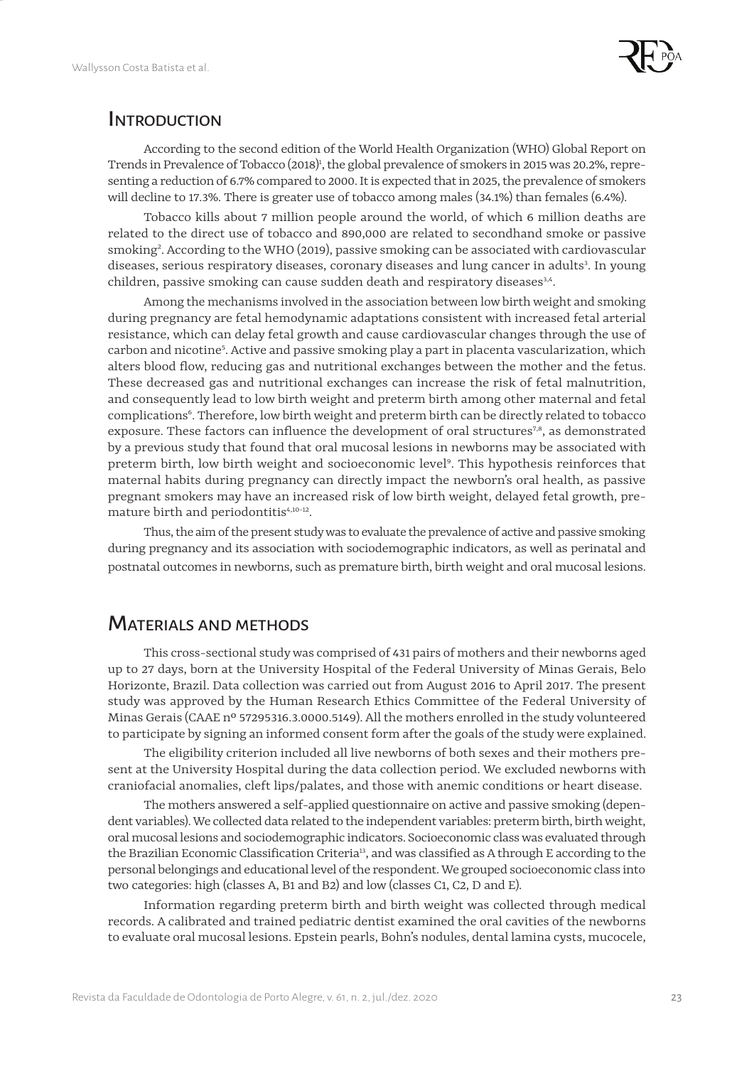

#### **INTRODUCTION**

According to the second edition of the World Health Organization (WHO) Global Report on Trends in Prevalence of Tobacco (2018)<sup>1</sup>, the global prevalence of smokers in 2015 was 20.2%, representing a reduction of 6.7% compared to 2000. It is expected that in 2025, the prevalence of smokers will decline to 17.3%. There is greater use of tobacco among males (34.1%) than females (6.4%).

Tobacco kills about 7 million people around the world, of which 6 million deaths are related to the direct use of tobacco and 890,000 are related to secondhand smoke or passive smoking<sup>2</sup>. According to the WHO (2019), passive smoking can be associated with cardiovascular diseases, serious respiratory diseases, coronary diseases and lung cancer in adults<sup>3</sup>. In young children, passive smoking can cause sudden death and respiratory diseases<sup>3,4</sup>.

Among the mechanisms involved in the association between low birth weight and smoking during pregnancy are fetal hemodynamic adaptations consistent with increased fetal arterial resistance, which can delay fetal growth and cause cardiovascular changes through the use of carbon and nicotine5 . Active and passive smoking play a part in placenta vascularization, which alters blood flow, reducing gas and nutritional exchanges between the mother and the fetus. These decreased gas and nutritional exchanges can increase the risk of fetal malnutrition, and consequently lead to low birth weight and preterm birth among other maternal and fetal complications<sup>6</sup>. Therefore, low birth weight and preterm birth can be directly related to tobacco exposure. These factors can influence the development of oral structures<sup>7,8</sup>, as demonstrated by a previous study that found that oral mucosal lesions in newborns may be associated with preterm birth, low birth weight and socioeconomic level<sup>9</sup>. This hypothesis reinforces that maternal habits during pregnancy can directly impact the newborn's oral health, as passive pregnant smokers may have an increased risk of low birth weight, delayed fetal growth, premature birth and periodontitis<sup>4,10-12</sup>.

Thus, the aim of the present study was to evaluate the prevalence of active and passive smoking during pregnancy and its association with sociodemographic indicators, as well as perinatal and postnatal outcomes in newborns, such as premature birth, birth weight and oral mucosal lesions.

#### Materials and methods

This cross-sectional study was comprised of 431 pairs of mothers and their newborns aged up to 27 days, born at the University Hospital of the Federal University of Minas Gerais, Belo Horizonte, Brazil. Data collection was carried out from August 2016 to April 2017. The present study was approved by the Human Research Ethics Committee of the Federal University of Minas Gerais (CAAE nº 57295316.3.0000.5149). All the mothers enrolled in the study volunteered to participate by signing an informed consent form after the goals of the study were explained.

The eligibility criterion included all live newborns of both sexes and their mothers present at the University Hospital during the data collection period. We excluded newborns with craniofacial anomalies, cleft lips/palates, and those with anemic conditions or heart disease.

The mothers answered a self-applied questionnaire on active and passive smoking (dependent variables). We collected data related to the independent variables: preterm birth, birth weight, oral mucosal lesions and sociodemographic indicators. Socioeconomic class was evaluated through the Brazilian Economic Classification Criteria<sup>13</sup>, and was classified as A through E according to the personal belongings and educational level of the respondent. We grouped socioeconomic class into two categories: high (classes A, B1 and B2) and low (classes C1, C2, D and E).

Information regarding preterm birth and birth weight was collected through medical records. A calibrated and trained pediatric dentist examined the oral cavities of the newborns to evaluate oral mucosal lesions. Epstein pearls, Bohn's nodules, dental lamina cysts, mucocele,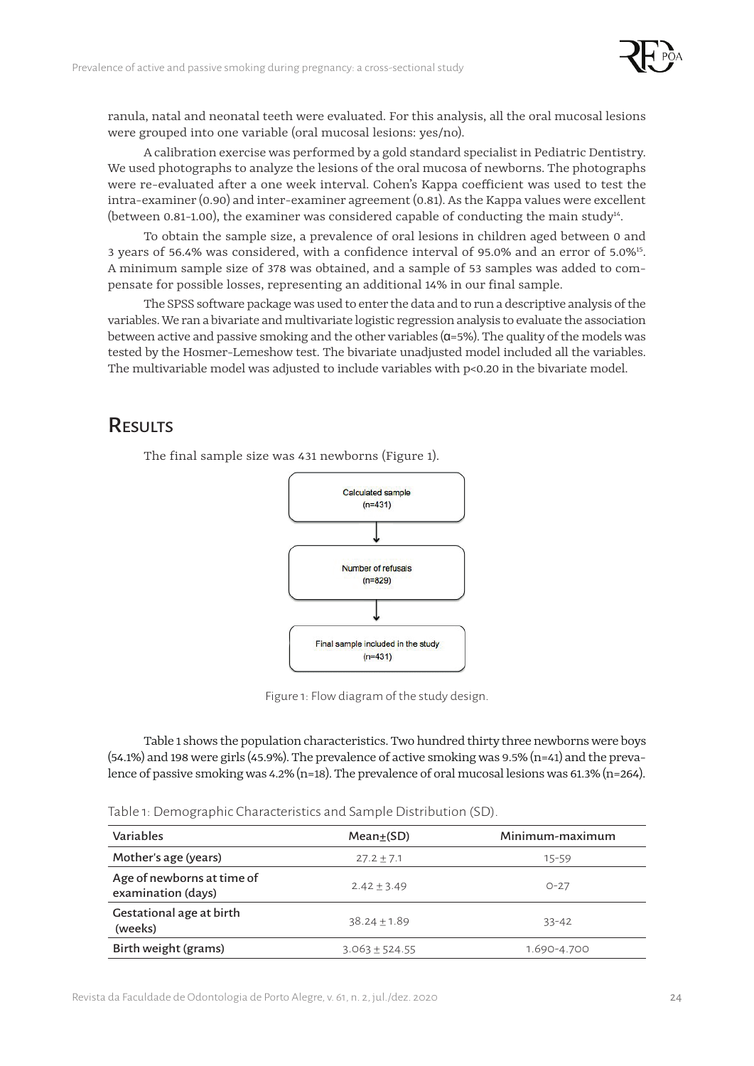

ranula, natal and neonatal teeth were evaluated. For this analysis, all the oral mucosal lesions were grouped into one variable (oral mucosal lesions: yes/no).

A calibration exercise was performed by a gold standard specialist in Pediatric Dentistry. We used photographs to analyze the lesions of the oral mucosa of newborns. The photographs were re-evaluated after a one week interval. Cohen's Kappa coefficient was used to test the intra-examiner (0.90) and inter-examiner agreement (0.81). As the Kappa values were excellent (between 0.81-1.00), the examiner was considered capable of conducting the main study<sup>14</sup>.

To obtain the sample size, a prevalence of oral lesions in children aged between 0 and 3 years of 56.4% was considered, with a confidence interval of 95.0% and an error of 5.0%15. A minimum sample size of 378 was obtained, and a sample of 53 samples was added to compensate for possible losses, representing an additional 14% in our final sample.

The SPSS software package was used to enter the data and to run a descriptive analysis of the variables. We ran a bivariate and multivariate logistic regression analysis to evaluate the association between active and passive smoking and the other variables ( $\alpha$ =5%). The quality of the models was tested by the Hosmer-Lemeshow test. The bivariate unadjusted model included all the variables. The multivariable model was adjusted to include variables with p<0.20 in the bivariate model.

## **RESULTS**

The final sample size was 431 newborns (Figure 1).



Figure 1: Flow diagram of the study design.

Table 1 shows the population characteristics. Two hundred thirty three newborns were boys (54.1%) and 198 were girls (45.9%). The prevalence of active smoking was 9.5% (n=41) and the prevalence of passive smoking was 4.2% (n=18). The prevalence of oral mucosal lesions was 61.3% (n=264).

Table 1: Demographic Characteristics and Sample Distribution (SD).

| Variables                                        | $Mean+(SD)$      | Minimum-maximum<br>15-59 |  |  |
|--------------------------------------------------|------------------|--------------------------|--|--|
| Mother's age (years)                             | $27.2 + 7.1$     |                          |  |  |
| Age of newborns at time of<br>examination (days) | $2.42 + 3.49$    | $O - 27$                 |  |  |
| Gestational age at birth<br>(weeks)              | $38.24 + 1.89$   | $33 - 42$                |  |  |
| Birth weight (grams)                             | $3.063 + 524.55$ | 1.690-4.700              |  |  |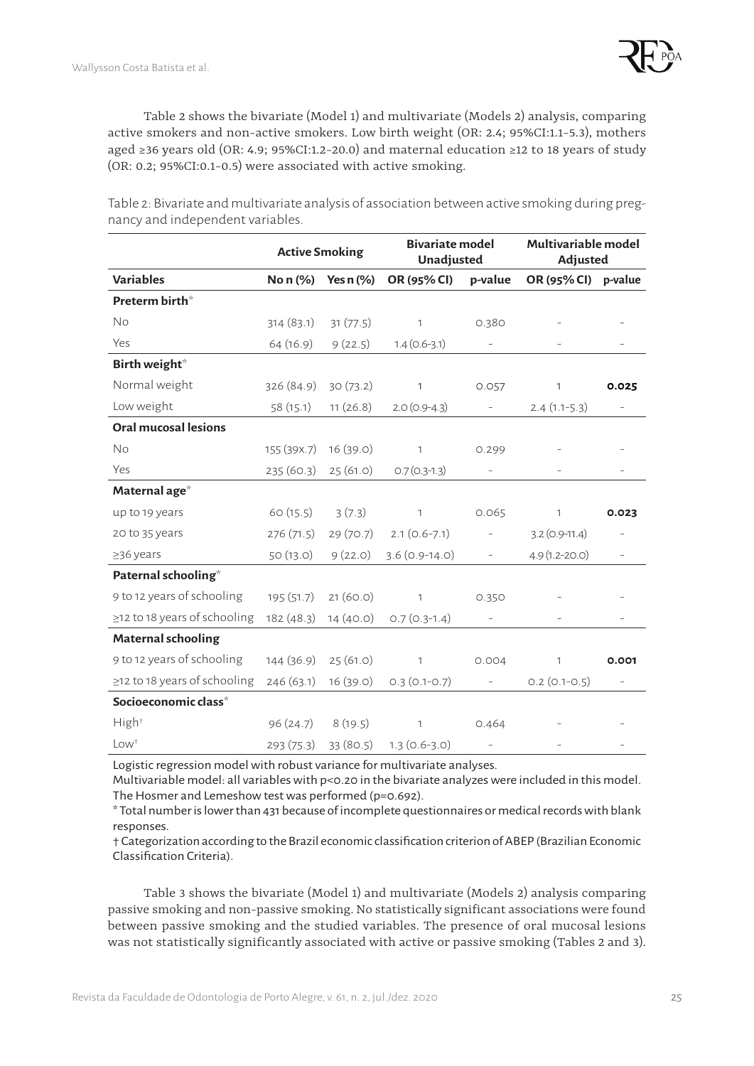

Table 2 shows the bivariate (Model 1) and multivariate (Models 2) analysis, comparing active smokers and non-active smokers. Low birth weight (OR: 2.4; 95%CI:1.1-5.3), mothers aged ≥36 years old (OR: 4.9; 95%CI:1.2-20.0) and maternal education ≥12 to 18 years of study (OR: 0.2; 95%CI:0.1-0.5) were associated with active smoking.

**Active Smoking Bivariate model Unadjusted Multivariable model Adjusted Variables No n (%) Yes n (%) OR (95% CI) p-value OR (95% CI) p-value Preterm birth**\* No 314 (83.1) 31 (77.5) 1 0.380 - - - $Yes$  64 (16.9) 9 (22.5) 1.4 (0.6-3.1) - - - - - - -**Birth weight**\* Normal weight 326 (84.9) 30 (73.2) 1 0.057 1 0.025 Low weight 58 (15.1) 11 (26.8) 2.0 (0.9-4.3) - 2.4 (1.1-5.3) -**Oral mucosal lesions** No 155 (39x.7) 16 (39.0) 1 0.299  $Yes$  235 (60.3) 25 (61.0) 0.7 (0.3-1.3) - - - - - - - - -**Maternal age**\* up to 19 years 60 (15.5) 3 (7.3) 1 0.065 1 **0.023** 20 to 35 years 276 (71.5) 29 (70.7) 2.1 (0.6-7.1) - 3.2 (0.9-11.4)  $>36$  years  $>50$  (13.0)  $>9$  (22.0)  $3.6$  (0.9-14.0) -  $\rightarrow$  4.9 (1.2-20.0) **Paternal schooling**\* 9 to 12 years of schooling 195 (51.7) 21 (60.0) 1 0.350  $\geq$ 12 to 18 years of schooling 182 (48.3) 14 (40.0) 0.7 (0.3-1.4) **Maternal schooling** 9 to 12 years of schooling 144 (36.9) 25 (61.0) 1 0.004 1 **0.001**  $\geq$ 12 to 18 years of schooling 246 (63.1) 16 (39.0) 0.3 (0.1-0.7) - 0.2 (0.1-0.5) **Socioeconomic class**\*  $High<sup>†</sup>$  96 (24.7) 8 (19.5) 1 0.464 - -

Table 2: Bivariate and multivariate analysis of association between active smoking during pregnancy and independent variables.

Logistic regression model with robust variance for multivariate analyses.

 $Low<sup>†</sup>$  293 (75.3) 33 (80.5) 1.3 (0.6-3.0)

Multivariable model: all variables with p<0.20 in the bivariate analyzes were included in this model. The Hosmer and Lemeshow test was performed (p=0.692).

\* Total number is lower than 431 because of incomplete questionnaires or medical records with blank responses.

† Categorization according to the Brazil economic classification criterion of ABEP (Brazilian Economic Classification Criteria).

Table 3 shows the bivariate (Model 1) and multivariate (Models 2) analysis comparing passive smoking and non-passive smoking. No statistically significant associations were found between passive smoking and the studied variables. The presence of oral mucosal lesions was not statistically significantly associated with active or passive smoking (Tables 2 and 3).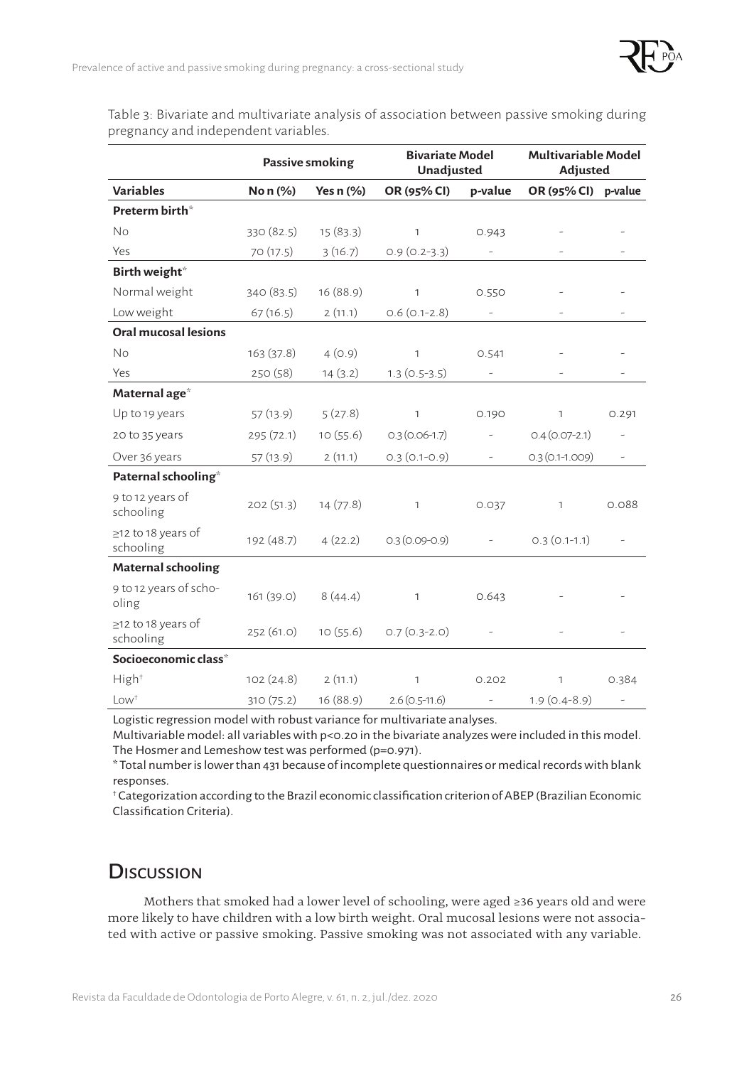

Table 3: Bivariate and multivariate analysis of association between passive smoking during pregnancy and independent variables.

|                                 | Passive smoking |             | <b>Bivariate Model</b><br>Unadjusted |                          | <b>Multivariable Model</b><br>Adjusted |                          |
|---------------------------------|-----------------|-------------|--------------------------------------|--------------------------|----------------------------------------|--------------------------|
| <b>Variables</b>                | No n (%)        | Yes $n$ (%) | OR (95% CI)                          | p-value                  | OR (95% CI) p-value                    |                          |
| Preterm birth*                  |                 |             |                                      |                          |                                        |                          |
| <b>No</b>                       | 330 (82.5)      | 15(83.3)    | $\mathbf{1}$                         | 0.943                    |                                        |                          |
| Yes                             | 70 (17.5)       | 3(16.7)     | $0.9(0.2-3.3)$                       | $\overline{\phantom{a}}$ |                                        | $\overline{\phantom{a}}$ |
| Birth weight*                   |                 |             |                                      |                          |                                        |                          |
| Normal weight                   | 340 (83.5)      | 16 (88.9)   | $\mathbf{1}$                         | 0.550                    |                                        |                          |
| Low weight                      | 67(16.5)        | 2(11.1)     | $0.6(0.1-2.8)$                       | $\overline{\phantom{a}}$ |                                        |                          |
| <b>Oral mucosal lesions</b>     |                 |             |                                      |                          |                                        |                          |
| <b>No</b>                       | 163 (37.8)      | 4(0.9)      | $\mathbf{1}$                         | 0.541                    |                                        |                          |
| Yes                             | 250 (58)        | 14(3.2)     | $1.3(0.5-3.5)$                       | $\overline{\phantom{a}}$ |                                        | $\overline{\phantom{a}}$ |
| Maternal age*                   |                 |             |                                      |                          |                                        |                          |
| Up to 19 years                  | 57 (13.9)       | 5(27.8)     | $\mathbf{1}$                         | 0.190                    | $\mathbf{1}$                           | 0.291                    |
| 20 to 35 years                  | 295 (72.1)      | 10(55.6)    | $0.3(0.06-1.7)$                      | $\overline{\phantom{0}}$ | $0.4(0.07-2.1)$                        | ÷,                       |
| Over 36 years                   | 57 (13.9)       | 2(11.1)     | $0.3(0.1-0.9)$                       | $\omega$                 | $0.3(0.1-1.009)$                       | $\overline{\phantom{a}}$ |
| Paternal schooling*             |                 |             |                                      |                          |                                        |                          |
| 9 to 12 years of<br>schooling   | 202(51.3)       | 14(77.8)    | $\mathbf{1}$                         | 0.037                    | $\mathbf{1}$                           | 0.088                    |
| ≥12 to 18 years of<br>schooling | 192 (48.7)      | 4(22.2)     | $0.3(0.09 - 0.9)$                    | $\overline{\phantom{a}}$ | $0.3(0.1-1.1)$                         | $\overline{\phantom{a}}$ |
| <b>Maternal schooling</b>       |                 |             |                                      |                          |                                        |                          |
| 9 to 12 years of scho-<br>oling | 161 (39.0)      | 8(44.4)     | $\mathbf{1}$                         | 0.643                    |                                        |                          |
| ≥12 to 18 years of<br>schooling | 252 (61.0)      | 10(55.6)    | $0.7(0.3-2.0)$                       |                          |                                        |                          |
| Socioeconomic class*            |                 |             |                                      |                          |                                        |                          |
| High <sup>+</sup>               | 102 (24.8)      | 2(11.1)     | $\mathbf{1}$                         | 0.202                    | $\mathbf{1}$                           | 0.384                    |
| $Low+$                          | 310 (75.2)      | 16 (88.9)   | $2.6(0.5-11.6)$                      | $\overline{\phantom{a}}$ | $1.9(0.4-8.9)$                         | $\frac{1}{2}$            |

Logistic regression model with robust variance for multivariate analyses.

Multivariable model: all variables with p<0.20 in the bivariate analyzes were included in this model. The Hosmer and Lemeshow test was performed (p=0.971).

\* Total number is lower than 431 because of incomplete questionnaires or medical records with blank responses.

† Categorization according to the Brazil economic classification criterion of ABEP (Brazilian Economic Classification Criteria).

# **Discussion**

Mothers that smoked had a lower level of schooling, were aged ≥36 years old and were more likely to have children with a low birth weight. Oral mucosal lesions were not associated with active or passive smoking. Passive smoking was not associated with any variable.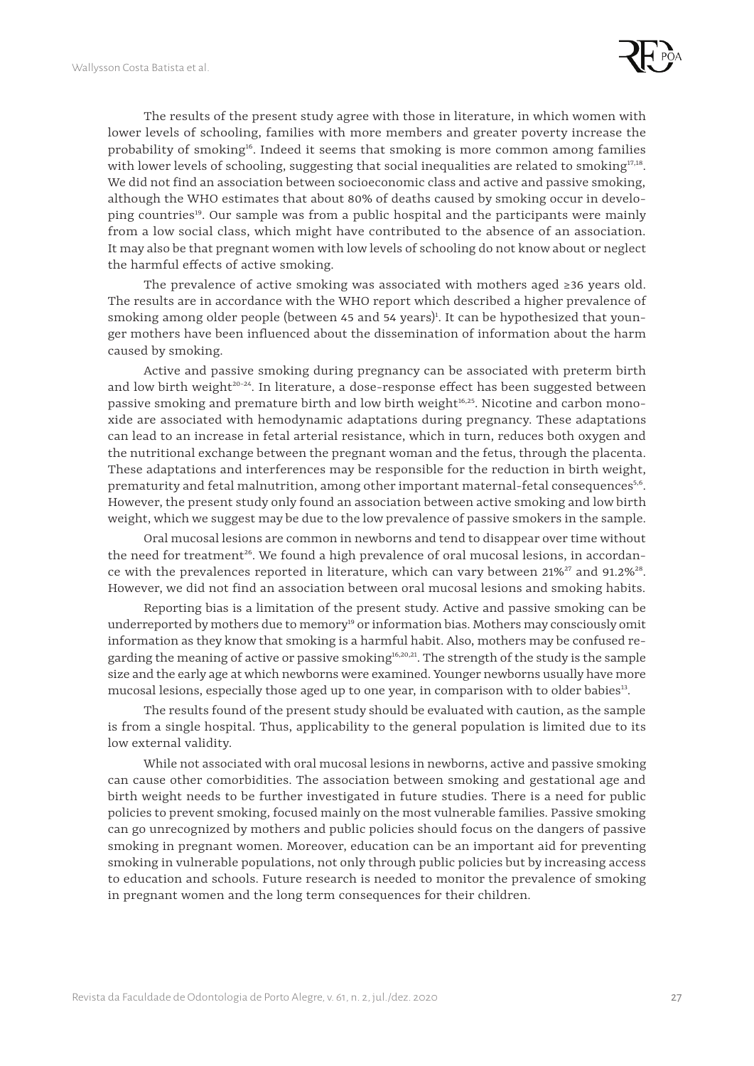

The results of the present study agree with those in literature, in which women with lower levels of schooling, families with more members and greater poverty increase the probability of smoking<sup>16</sup>. Indeed it seems that smoking is more common among families with lower levels of schooling, suggesting that social inequalities are related to smoking $17,18$ . We did not find an association between socioeconomic class and active and passive smoking, although the WHO estimates that about 80% of deaths caused by smoking occur in developing countries<sup>19</sup>. Our sample was from a public hospital and the participants were mainly from a low social class, which might have contributed to the absence of an association. It may also be that pregnant women with low levels of schooling do not know about or neglect the harmful effects of active smoking.

The prevalence of active smoking was associated with mothers aged  $\geq 36$  years old. The results are in accordance with the WHO report which described a higher prevalence of smoking among older people (between 45 and 54 years)<sup>1</sup>. It can be hypothesized that younger mothers have been influenced about the dissemination of information about the harm caused by smoking.

Active and passive smoking during pregnancy can be associated with preterm birth and low birth weight<sup>20-24</sup>. In literature, a dose-response effect has been suggested between passive smoking and premature birth and low birth weight<sup>16,25</sup>. Nicotine and carbon monoxide are associated with hemodynamic adaptations during pregnancy. These adaptations can lead to an increase in fetal arterial resistance, which in turn, reduces both oxygen and the nutritional exchange between the pregnant woman and the fetus, through the placenta. These adaptations and interferences may be responsible for the reduction in birth weight, prematurity and fetal malnutrition, among other important maternal-fetal consequences<sup>5,6</sup>. However, the present study only found an association between active smoking and low birth weight, which we suggest may be due to the low prevalence of passive smokers in the sample.

Oral mucosal lesions are common in newborns and tend to disappear over time without the need for treatment<sup>26</sup>. We found a high prevalence of oral mucosal lesions, in accordance with the prevalences reported in literature, which can vary between  $21\%^{27}$  and  $91.2\%^{28}$ . However, we did not find an association between oral mucosal lesions and smoking habits.

Reporting bias is a limitation of the present study. Active and passive smoking can be underreported by mothers due to memory<sup>19</sup> or information bias. Mothers may consciously omit information as they know that smoking is a harmful habit. Also, mothers may be confused regarding the meaning of active or passive smoking<sup>16,20,21</sup>. The strength of the study is the sample size and the early age at which newborns were examined. Younger newborns usually have more mucosal lesions, especially those aged up to one year, in comparison with to older babies<sup>13</sup>.

The results found of the present study should be evaluated with caution, as the sample is from a single hospital. Thus, applicability to the general population is limited due to its low external validity.

While not associated with oral mucosal lesions in newborns, active and passive smoking can cause other comorbidities. The association between smoking and gestational age and birth weight needs to be further investigated in future studies. There is a need for public policies to prevent smoking, focused mainly on the most vulnerable families. Passive smoking can go unrecognized by mothers and public policies should focus on the dangers of passive smoking in pregnant women. Moreover, education can be an important aid for preventing smoking in vulnerable populations, not only through public policies but by increasing access to education and schools. Future research is needed to monitor the prevalence of smoking in pregnant women and the long term consequences for their children.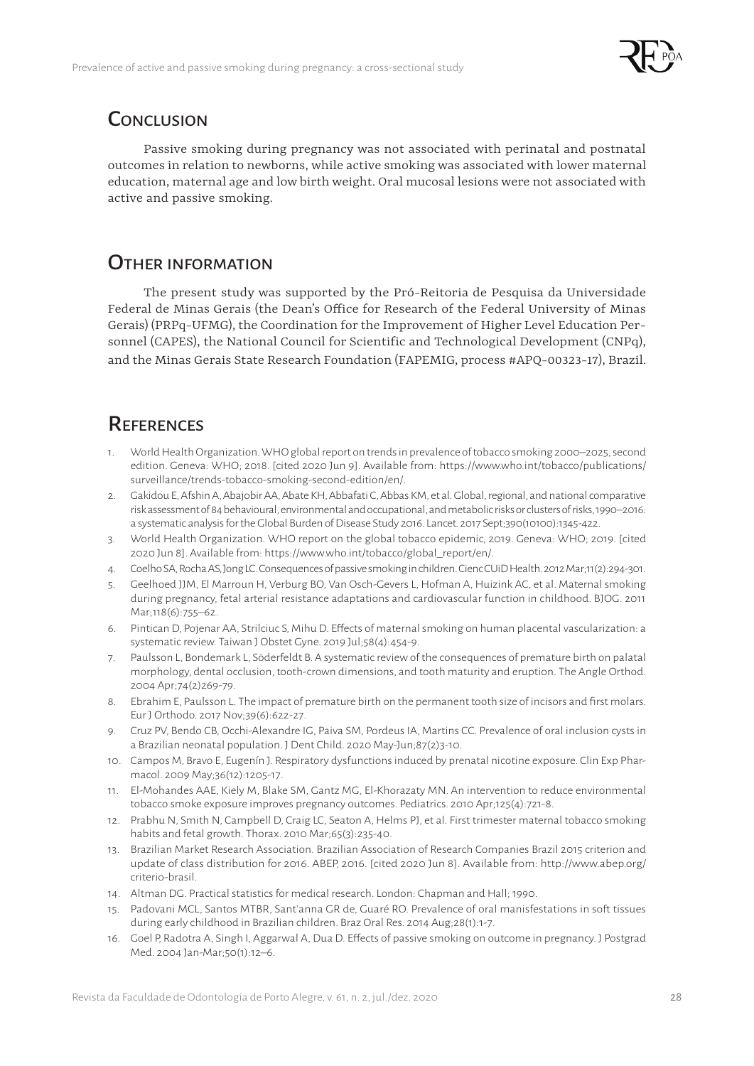

### **CONCLUSION**

Passive smoking during pregnancy was not associated with perinatal and postnatal outcomes in relation to newborns, while active smoking was associated with lower maternal education, maternal age and low birth weight. Oral mucosal lesions were not associated with active and passive smoking.

### OTHER INFORMATION

The present study was supported by the Pró-Reitoria de Pesquisa da Universidade Federal de Minas Gerais (the Dean's Office for Research of the Federal University of Minas Gerais) (PRPq-UFMG), the Coordination for the Improvement of Higher Level Education Personnel (CAPES), the National Council for Scientific and Technological Development (CNPq), and the Minas Gerais State Research Foundation (FAPEMIG, process #APQ-00323-17), Brazil.

# **REFERENCES**

- 1. World Health Organization. WHO global report on trends in prevalence of tobacco smoking 2000–2025, second edition. Geneva: WHO; 2018. [cited 2020 Jun 9]. Available from: [https://www.who.int/tobacco/publications/](https://www.who.int/tobacco/publications/surveillance/trends-tobacco-smoking-second-edition/en/) [surveillance/trends-tobacco-smoking-second-edition/en/.](https://www.who.int/tobacco/publications/surveillance/trends-tobacco-smoking-second-edition/en/)
- 2. Gakidou E, Afshin A, Abajobir AA, Abate KH, Abbafati C, Abbas KM, et al. Global, regional, and national comparative risk assessment of 84 behavioural, environmental and occupational, and metabolic risks or clusters of risks, 1990–2016: a systematic analysis for the Global Burden of Disease Study 2016. Lancet. 2017 Sept;390(10100):1345-422.
- 3. World Health Organization. WHO report on the global tobacco epidemic, 2019. Geneva: WHO; 2019. [cited 2020 Jun 8]. Available from: [https://www.who.int/tobacco/global\\_report/en/](https://www.who.int/tobacco/global_report/en/).
- 4. Coelho SA, Rocha AS, Jong LC. Consequences of passive smoking in children. Cienc CUiD Health. 2012 Mar;11(2):294-301.
- 5. Geelhoed JJM, El Marroun H, Verburg BO, Van Osch-Gevers L, Hofman A, Huizink AC, et al. Maternal smoking during pregnancy, fetal arterial resistance adaptations and cardiovascular function in childhood. BJOG. 2011 Mar;118(6):755–62.
- 6. Pintican D, Pojenar AA, Strilciuc S, Mihu D. Effects of maternal smoking on human placental vascularization: a systematic review. Taiwan J Obstet Gyne. 2019 Jul;58(4):454-9.
- 7. Paulsson L, Bondemark L, Söderfeldt B. A systematic review of the consequences of premature birth on palatal morphology, dental occlusion, tooth-crown dimensions, and tooth maturity and eruption. The Angle Orthod. 2004 Apr;74(2)269-79.
- 8. Ebrahim E, Paulsson L. The impact of premature birth on the permanent tooth size of incisors and first molars. Eur J Orthodo. 2017 Nov;39(6):622-27.
- 9. Cruz PV, Bendo CB, Occhi-Alexandre IG, Paiva SM, Pordeus IA, Martins CC. Prevalence of oral inclusion cysts in a Brazilian neonatal population. J Dent Child. 2020 May-Jun;87(2)3-10.
- 10. Campos M, Bravo E, Eugenín J. Respiratory dysfunctions induced by prenatal nicotine exposure. Clin Exp Pharmacol. 2009 May;36(12):1205-17.
- 11. El-Mohandes AAE, Kiely M, Blake SM, Gantz MG, El-Khorazaty MN. An intervention to reduce environmental tobacco smoke exposure improves pregnancy outcomes. Pediatrics. 2010 Apr;125(4):721-8.
- 12. Prabhu N, Smith N, Campbell D, Craig LC, Seaton A, Helms PJ, et al. First trimester maternal tobacco smoking habits and fetal growth. Thorax. 2010 Mar;65(3):235-40.
- 13. Brazilian Market Research Association. Brazilian Association of Research Companies Brazil 2015 criterion and update of class distribution for 2016. ABEP, 2016. [cited 2020 Jun 8]. Available from: [http://www.abep.org/](http://www.abep.org/criterio-brasil) [criterio-brasil.](http://www.abep.org/criterio-brasil)
- 14. Altman DG. Practical statistics for medical research. London: Chapman and Hall; 1990.
- 15. Padovani MCL, Santos MTBR, Sant'anna GR de, Guaré RO. Prevalence of oral manisfestations in soft tissues during early childhood in Brazilian children. Braz Oral Res. 2014 Aug;28(1):1-7.
- 16. Goel P, Radotra A, Singh I, Aggarwal A, Dua D. Effects of passive smoking on outcome in pregnancy. J Postgrad Med. 2004 Jan-Mar;50(1):12–6.